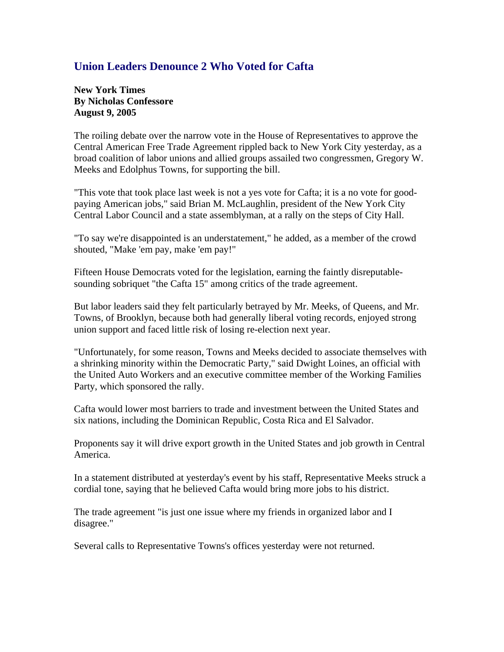## **Union Leaders Denounce 2 Who Voted for Cafta**

**New York Times By Nicholas Confessore August 9, 2005** 

The roiling debate over the narrow vote in the House of Representatives to approve the Central American Free Trade Agreement rippled back to New York City yesterday, as a broad coalition of labor unions and allied groups assailed two congressmen, Gregory W. Meeks and Edolphus Towns, for supporting the bill.

"This vote that took place last week is not a yes vote for Cafta; it is a no vote for goodpaying American jobs," said Brian M. McLaughlin, president of the New York City Central Labor Council and a state assemblyman, at a rally on the steps of City Hall.

"To say we're disappointed is an understatement," he added, as a member of the crowd shouted, "Make 'em pay, make 'em pay!"

Fifteen House Democrats voted for the legislation, earning the faintly disreputablesounding sobriquet "the Cafta 15" among critics of the trade agreement.

But labor leaders said they felt particularly betrayed by Mr. Meeks, of Queens, and Mr. Towns, of Brooklyn, because both had generally liberal voting records, enjoyed strong union support and faced little risk of losing re-election next year.

"Unfortunately, for some reason, Towns and Meeks decided to associate themselves with a shrinking minority within the Democratic Party," said Dwight Loines, an official with the United Auto Workers and an executive committee member of the Working Families Party, which sponsored the rally.

Cafta would lower most barriers to trade and investment between the United States and six nations, including the Dominican Republic, Costa Rica and El Salvador.

Proponents say it will drive export growth in the United States and job growth in Central America.

In a statement distributed at yesterday's event by his staff, Representative Meeks struck a cordial tone, saying that he believed Cafta would bring more jobs to his district.

The trade agreement "is just one issue where my friends in organized labor and I disagree."

Several calls to Representative Towns's offices yesterday were not returned.